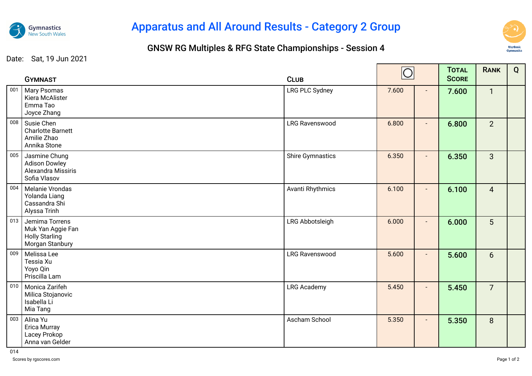

## Apparatus and All Around Results - Category 2 Group

## GNSW RG Multiples & RFG State Championships - Session 4



Date: Sat, 19 Jun 2021

|     | <b>GYMNAST</b>                                                                  | <b>CLUB</b>             | $\cap$ |                | <b>TOTAL</b><br><b>SCORE</b> | <b>RANK</b>    | Q |
|-----|---------------------------------------------------------------------------------|-------------------------|--------|----------------|------------------------------|----------------|---|
| 001 | Mary Psomas<br>Kiera McAlister<br>Emma Tao<br>Joyce Zhang                       | LRG PLC Sydney          | 7.600  | $\blacksquare$ | 7.600                        | $\mathbf{1}$   |   |
| 008 | Susie Chen<br><b>Charlotte Barnett</b><br>Amilie Zhao<br>Annika Stone           | <b>LRG Ravenswood</b>   | 6.800  | $\blacksquare$ | 6.800                        | 2 <sup>1</sup> |   |
| 005 | Jasmine Chung<br><b>Adison Dowley</b><br>Alexandra Missiris<br>Sofia Vlasov     | <b>Shire Gymnastics</b> | 6.350  | $\blacksquare$ | 6.350                        | $\mathbf{3}$   |   |
| 004 | Melanie Vrondas<br>Yolanda Liang<br>Cassandra Shi<br>Alyssa Trinh               | Avanti Rhythmics        | 6.100  | $\blacksquare$ | 6.100                        | $\overline{4}$ |   |
| 013 | Jemima Torrens<br>Muk Yan Aggie Fan<br><b>Holly Starling</b><br>Morgan Stanbury | LRG Abbotsleigh         | 6.000  |                | 6.000                        | 5 <sup>5</sup> |   |
| 009 | Melissa Lee<br>Tessia Xu<br>Yoyo Qin<br>Priscilla Lam                           | <b>LRG Ravenswood</b>   | 5.600  | $\blacksquare$ | 5.600                        | 6 <sup>1</sup> |   |
| 010 | Monica Zarifeh<br>Milica Stojanovic<br>Isabella Li<br>Mia Tang                  | <b>LRG Academy</b>      | 5.450  | $\blacksquare$ | 5.450                        | $\overline{7}$ |   |
| 003 | Alina Yu<br>Erica Murray<br>Lacey Prokop<br>Anna van Gelder                     | Ascham School           | 5.350  | $\blacksquare$ | 5.350                        | 8              |   |